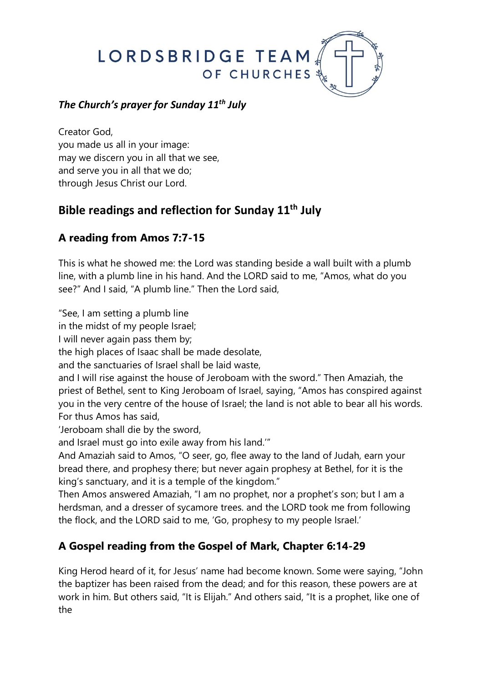

#### *The Church's prayer for Sunday 11th July*

Creator God, you made us all in your image: may we discern you in all that we see, and serve you in all that we do; through Jesus Christ our Lord.

## **Bible readings and reflection for Sunday 11th July**

#### **A reading from Amos 7:7-15**

This is what he showed me: the Lord was standing beside a wall built with a plumb line, with a plumb line in his hand. And the LORD said to me, "Amos, what do you see?" And I said, "A plumb line." Then the Lord said,

"See, I am setting a plumb line

in the midst of my people Israel;

I will never again pass them by;

the high places of Isaac shall be made desolate,

and the sanctuaries of Israel shall be laid waste,

and I will rise against the house of Jeroboam with the sword." Then Amaziah, the priest of Bethel, sent to King Jeroboam of Israel, saying, "Amos has conspired against you in the very centre of the house of Israel; the land is not able to bear all his words. For thus Amos has said,

'Jeroboam shall die by the sword,

and Israel must go into exile away from his land.'"

And Amaziah said to Amos, "O seer, go, flee away to the land of Judah, earn your bread there, and prophesy there; but never again prophesy at Bethel, for it is the king's sanctuary, and it is a temple of the kingdom."

Then Amos answered Amaziah, "I am no prophet, nor a prophet's son; but I am a herdsman, and a dresser of sycamore trees. and the LORD took me from following the flock, and the LORD said to me, 'Go, prophesy to my people Israel.'

### **A Gospel reading from the Gospel of Mark, Chapter 6:14-29**

King Herod heard of it, for Jesus' name had become known. Some were saying, "John the baptizer has been raised from the dead; and for this reason, these powers are at work in him. But others said, "It is Elijah." And others said, "It is a prophet, like one of the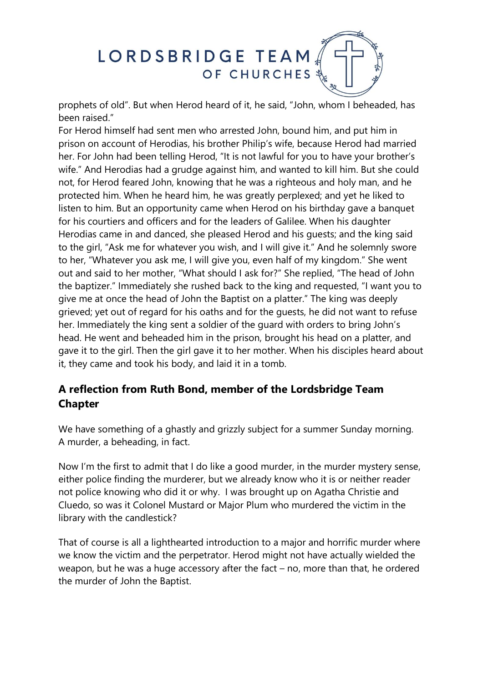

prophets of old". But when Herod heard of it, he said, "John, whom I beheaded, has been raised."

For Herod himself had sent men who arrested John, bound him, and put him in prison on account of Herodias, his brother Philip's wife, because Herod had married her. For John had been telling Herod, "It is not lawful for you to have your brother's wife." And Herodias had a grudge against him, and wanted to kill him. But she could not, for Herod feared John, knowing that he was a righteous and holy man, and he protected him. When he heard him, he was greatly perplexed; and yet he liked to listen to him. But an opportunity came when Herod on his birthday gave a banquet for his courtiers and officers and for the leaders of Galilee. When his daughter Herodias came in and danced, she pleased Herod and his guests; and the king said to the girl, "Ask me for whatever you wish, and I will give it." And he solemnly swore to her, "Whatever you ask me, I will give you, even half of my kingdom." She went out and said to her mother, "What should I ask for?" She replied, "The head of John the baptizer." Immediately she rushed back to the king and requested, "I want you to give me at once the head of John the Baptist on a platter." The king was deeply grieved; yet out of regard for his oaths and for the guests, he did not want to refuse her. Immediately the king sent a soldier of the guard with orders to bring John's head. He went and beheaded him in the prison, brought his head on a platter, and gave it to the girl. Then the girl gave it to her mother. When his disciples heard about it, they came and took his body, and laid it in a tomb.

#### **A reflection from Ruth Bond, member of the Lordsbridge Team Chapter**

We have something of a ghastly and grizzly subject for a summer Sunday morning. A murder, a beheading, in fact.

Now I'm the first to admit that I do like a good murder, in the murder mystery sense, either police finding the murderer, but we already know who it is or neither reader not police knowing who did it or why. I was brought up on Agatha Christie and Cluedo, so was it Colonel Mustard or Major Plum who murdered the victim in the library with the candlestick?

That of course is all a lighthearted introduction to a major and horrific murder where we know the victim and the perpetrator. Herod might not have actually wielded the weapon, but he was a huge accessory after the fact – no, more than that, he ordered the murder of John the Baptist.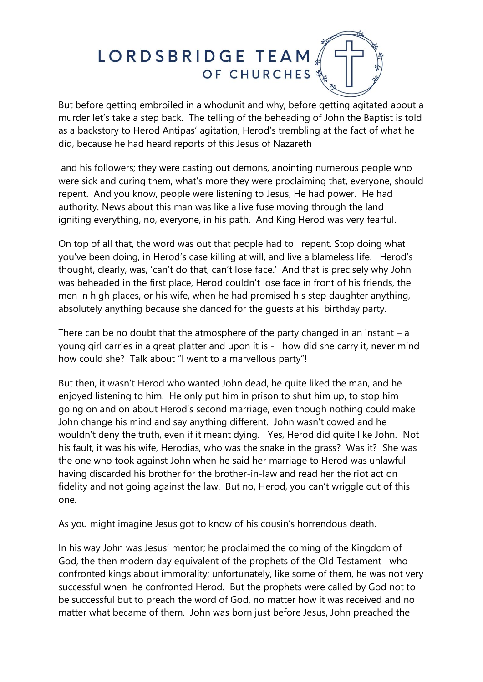# LORDSBRIDGE TEAM

But before getting embroiled in a whodunit and why, before getting agitated about a murder let's take a step back. The telling of the beheading of John the Baptist is told as a backstory to Herod Antipas' agitation, Herod's trembling at the fact of what he did, because he had heard reports of this Jesus of Nazareth

and his followers; they were casting out demons, anointing numerous people who were sick and curing them, what's more they were proclaiming that, everyone, should repent. And you know, people were listening to Jesus, He had power. He had authority. News about this man was like a live fuse moving through the land igniting everything, no, everyone, in his path. And King Herod was very fearful.

On top of all that, the word was out that people had to repent. Stop doing what you've been doing, in Herod's case killing at will, and live a blameless life. Herod's thought, clearly, was, 'can't do that, can't lose face.' And that is precisely why John was beheaded in the first place, Herod couldn't lose face in front of his friends, the men in high places, or his wife, when he had promised his step daughter anything, absolutely anything because she danced for the guests at his birthday party.

There can be no doubt that the atmosphere of the party changed in an instant  $- a$ young girl carries in a great platter and upon it is - how did she carry it, never mind how could she? Talk about "I went to a marvellous party"!

But then, it wasn't Herod who wanted John dead, he quite liked the man, and he enjoyed listening to him. He only put him in prison to shut him up, to stop him going on and on about Herod's second marriage, even though nothing could make John change his mind and say anything different. John wasn't cowed and he wouldn't deny the truth, even if it meant dying. Yes, Herod did quite like John. Not his fault, it was his wife, Herodias, who was the snake in the grass? Was it? She was the one who took against John when he said her marriage to Herod was unlawful having discarded his brother for the brother-in-law and read her the riot act on fidelity and not going against the law. But no, Herod, you can't wriggle out of this one.

As you might imagine Jesus got to know of his cousin's horrendous death.

In his way John was Jesus' mentor; he proclaimed the coming of the Kingdom of God, the then modern day equivalent of the prophets of the Old Testament who confronted kings about immorality; unfortunately, like some of them, he was not very successful when he confronted Herod. But the prophets were called by God not to be successful but to preach the word of God, no matter how it was received and no matter what became of them. John was born just before Jesus, John preached the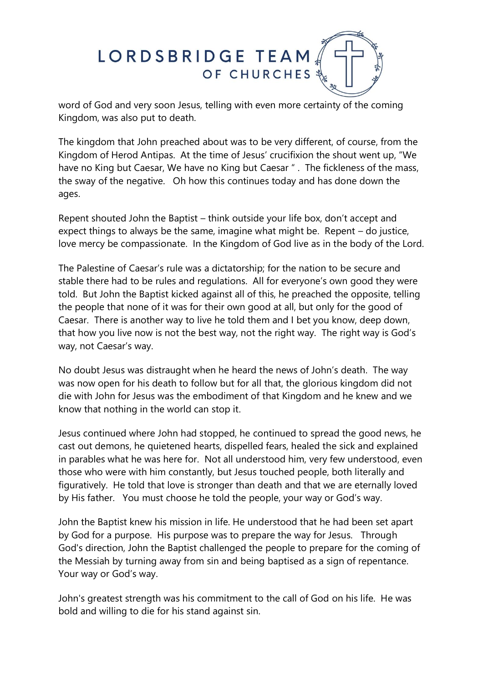

word of God and very soon Jesus, telling with even more certainty of the coming Kingdom, was also put to death.

The kingdom that John preached about was to be very different, of course, from the Kingdom of Herod Antipas. At the time of Jesus' crucifixion the shout went up, "We have no King but Caesar, We have no King but Caesar " . The fickleness of the mass, the sway of the negative. Oh how this continues today and has done down the ages.

Repent shouted John the Baptist – think outside your life box, don't accept and expect things to always be the same, imagine what might be. Repent – do justice, love mercy be compassionate. In the Kingdom of God live as in the body of the Lord.

The Palestine of Caesar's rule was a dictatorship; for the nation to be secure and stable there had to be rules and regulations. All for everyone's own good they were told. But John the Baptist kicked against all of this, he preached the opposite, telling the people that none of it was for their own good at all, but only for the good of Caesar. There is another way to live he told them and I bet you know, deep down, that how you live now is not the best way, not the right way. The right way is God's way, not Caesar's way.

No doubt Jesus was distraught when he heard the news of John's death. The way was now open for his death to follow but for all that, the glorious kingdom did not die with John for Jesus was the embodiment of that Kingdom and he knew and we know that nothing in the world can stop it.

Jesus continued where John had stopped, he continued to spread the good news, he cast out demons, he quietened hearts, dispelled fears, healed the sick and explained in parables what he was here for. Not all understood him, very few understood, even those who were with him constantly, but Jesus touched people, both literally and figuratively. He told that love is stronger than death and that we are eternally loved by His father. You must choose he told the people, your way or God's way.

John the Baptist knew his mission in life. He understood that he had been set apart by God for a purpose. His purpose was to prepare the way for Jesus. Through God's direction, John the Baptist challenged the people to prepare for the coming of the Messiah by turning away from sin and being baptised as a sign of repentance. Your way or God's way.

John's greatest strength was his commitment to the call of God on his life. He was bold and willing to die for his stand against sin.